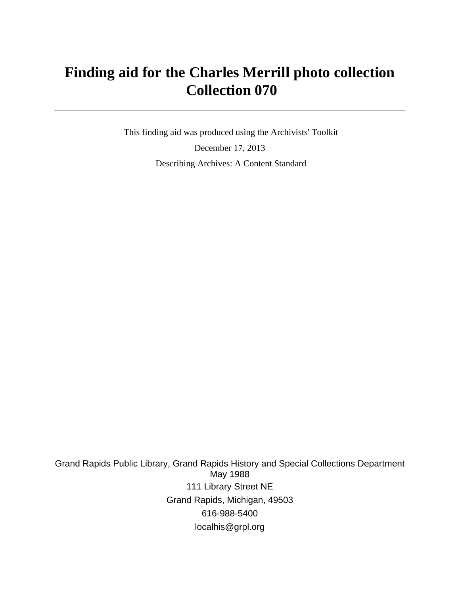# **Finding aid for the Charles Merrill photo collection Collection 070**

 This finding aid was produced using the Archivists' Toolkit December 17, 2013 Describing Archives: A Content Standard

Grand Rapids Public Library, Grand Rapids History and Special Collections Department May 1988 111 Library Street NE Grand Rapids, Michigan, 49503 616-988-5400 localhis@grpl.org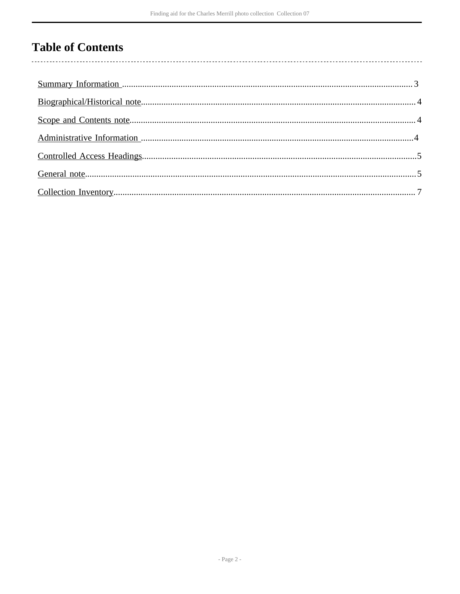# **Table of Contents**

 $\overline{\phantom{a}}$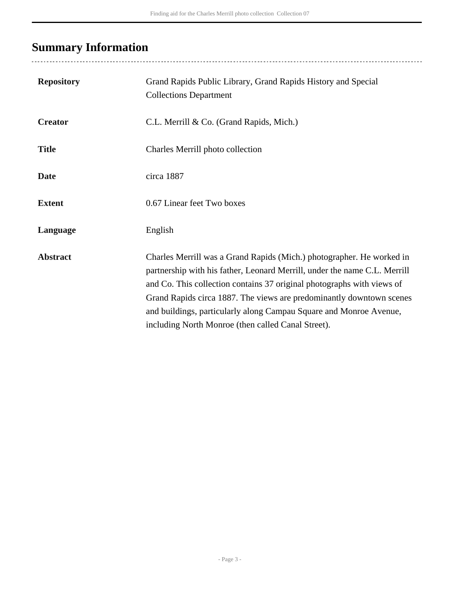# <span id="page-2-0"></span>**Summary Information**

| <b>Repository</b> | Grand Rapids Public Library, Grand Rapids History and Special<br><b>Collections Department</b>                                                                                                                                                                                                                                                                                                                                   |
|-------------------|----------------------------------------------------------------------------------------------------------------------------------------------------------------------------------------------------------------------------------------------------------------------------------------------------------------------------------------------------------------------------------------------------------------------------------|
| <b>Creator</b>    | C.L. Merrill & Co. (Grand Rapids, Mich.)                                                                                                                                                                                                                                                                                                                                                                                         |
| <b>Title</b>      | Charles Merrill photo collection                                                                                                                                                                                                                                                                                                                                                                                                 |
| <b>Date</b>       | circa 1887                                                                                                                                                                                                                                                                                                                                                                                                                       |
| <b>Extent</b>     | 0.67 Linear feet Two boxes                                                                                                                                                                                                                                                                                                                                                                                                       |
| Language          | English                                                                                                                                                                                                                                                                                                                                                                                                                          |
| <b>Abstract</b>   | Charles Merrill was a Grand Rapids (Mich.) photographer. He worked in<br>partnership with his father, Leonard Merrill, under the name C.L. Merrill<br>and Co. This collection contains 37 original photographs with views of<br>Grand Rapids circa 1887. The views are predominantly downtown scenes<br>and buildings, particularly along Campau Square and Monroe Avenue,<br>including North Monroe (then called Canal Street). |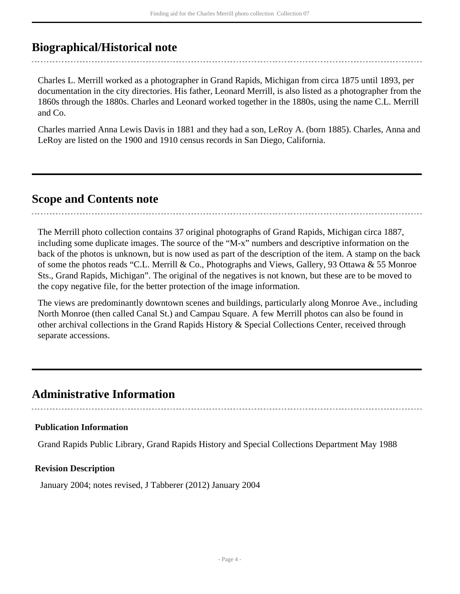## <span id="page-3-0"></span>**Biographical/Historical note**

Charles L. Merrill worked as a photographer in Grand Rapids, Michigan from circa 1875 until 1893, per documentation in the city directories. His father, Leonard Merrill, is also listed as a photographer from the 1860s through the 1880s. Charles and Leonard worked together in the 1880s, using the name C.L. Merrill and Co.

Charles married Anna Lewis Davis in 1881 and they had a son, LeRoy A. (born 1885). Charles, Anna and LeRoy are listed on the 1900 and 1910 census records in San Diego, California.

### <span id="page-3-1"></span>**Scope and Contents note**

The Merrill photo collection contains 37 original photographs of Grand Rapids, Michigan circa 1887, including some duplicate images. The source of the "M-x" numbers and descriptive information on the back of the photos is unknown, but is now used as part of the description of the item. A stamp on the back of some the photos reads "C.L. Merrill & Co., Photographs and Views, Gallery, 93 Ottawa & 55 Monroe Sts., Grand Rapids, Michigan". The original of the negatives is not known, but these are to be moved to the copy negative file, for the better protection of the image information.

The views are predominantly downtown scenes and buildings, particularly along Monroe Ave., including North Monroe (then called Canal St.) and Campau Square. A few Merrill photos can also be found in other archival collections in the Grand Rapids History & Special Collections Center, received through separate accessions.

## <span id="page-3-2"></span>**Administrative Information**

### **Publication Information**

Grand Rapids Public Library, Grand Rapids History and Special Collections Department May 1988

### **Revision Description**

January 2004; notes revised, J Tabberer (2012) January 2004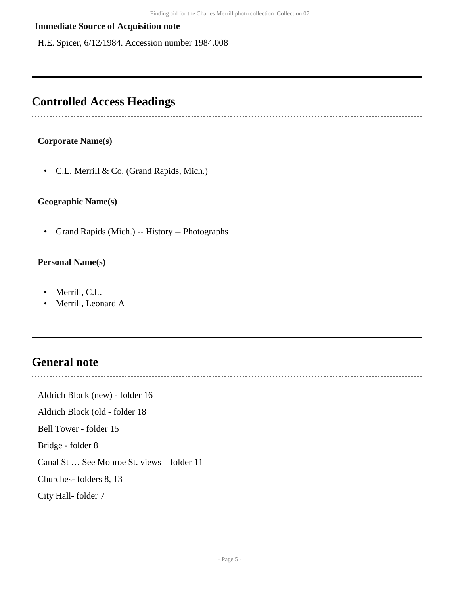#### **Immediate Source of Acquisition note**

H.E. Spicer, 6/12/1984. Accession number 1984.008

### <span id="page-4-0"></span>**Controlled Access Headings**

#### **Corporate Name(s)**

• C.L. Merrill & Co. (Grand Rapids, Mich.)

#### **Geographic Name(s)**

• Grand Rapids (Mich.) -- History -- Photographs

#### **Personal Name(s)**

- Merrill, C.L.
- Merrill, Leonard A

### <span id="page-4-1"></span>**General note**

Aldrich Block (new) - folder 16

Aldrich Block (old - folder 18

Bell Tower - folder 15

Bridge - folder 8

Canal St … See Monroe St. views – folder 11

Churches- folders 8, 13

City Hall- folder 7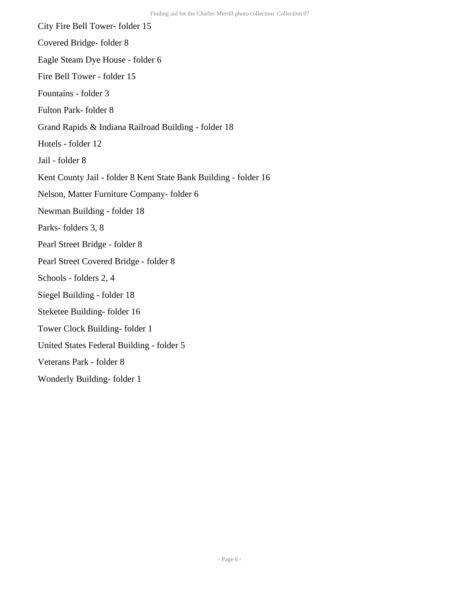City Fire Bell Tower- folder 15

Covered Bridge- folder 8

Eagle Steam Dye House - folder 6

Fire Bell Tower - folder 15

Fountains - folder 3

Fulton Park- folder 8

#### Grand Rapids & Indiana Railroad Building - folder 18

Hotels - folder 12

Jail - folder 8

Kent County Jail - folder 8 Kent State Bank Building - folder 16

Nelson, Matter Furniture Company- folder 6

Newman Building - folder 18

Parks- folders 3, 8

Pearl Street Bridge - folder 8

Pearl Street Covered Bridge - folder 8

Schools - folders 2, 4

Siegel Building - folder 18

Steketee Building- folder 16

Tower Clock Building- folder 1

United States Federal Building - folder 5

Veterans Park - folder 8

Wonderly Building- folder 1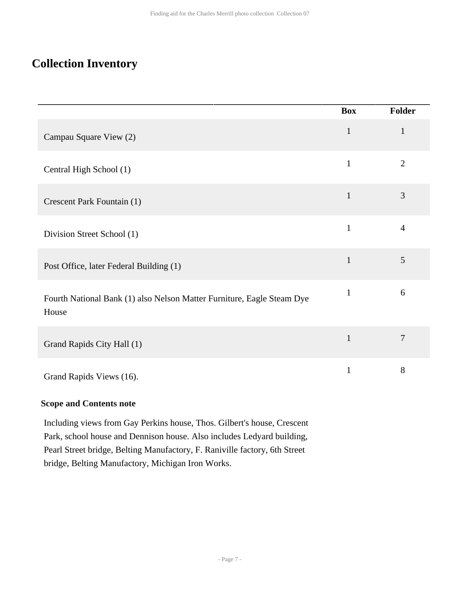## <span id="page-6-0"></span>**Collection Inventory**

|                                                                                 | <b>Box</b>   | Folder         |
|---------------------------------------------------------------------------------|--------------|----------------|
| Campau Square View (2)                                                          | $\mathbf{1}$ | $\mathbf{1}$   |
| Central High School (1)                                                         | $\mathbf{1}$ | $\overline{2}$ |
| Crescent Park Fountain (1)                                                      | $\mathbf{1}$ | 3              |
| Division Street School (1)                                                      | $\mathbf{1}$ | $\overline{4}$ |
| Post Office, later Federal Building (1)                                         | $\mathbf{1}$ | 5              |
| Fourth National Bank (1) also Nelson Matter Furniture, Eagle Steam Dye<br>House | $\mathbf{1}$ | 6              |
| Grand Rapids City Hall (1)                                                      | $\mathbf{1}$ | $\overline{7}$ |
| Grand Rapids Views (16).                                                        | $\mathbf{1}$ | $8\,$          |

### **Scope and Contents note**

Including views from Gay Perkins house, Thos. Gilbert's house, Crescent Park, school house and Dennison house. Also includes Ledyard building, Pearl Street bridge, Belting Manufactory, F. Raniville factory, 6th Street bridge, Belting Manufactory, Michigan Iron Works.